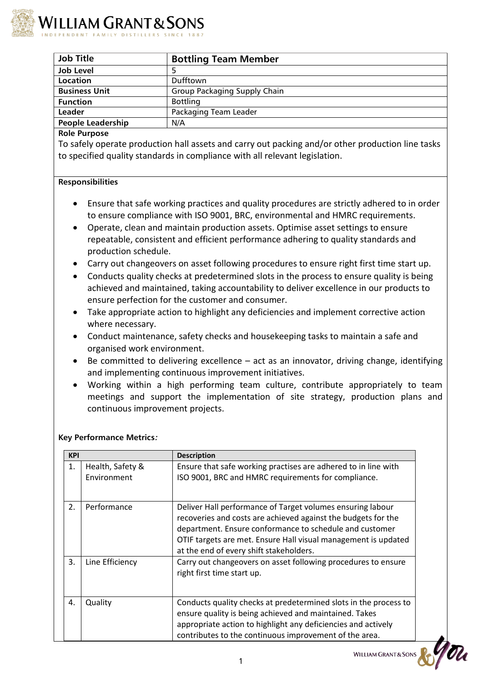

| <b>Job Title</b>         | <b>Bottling Team Member</b>         |
|--------------------------|-------------------------------------|
| <b>Job Level</b>         |                                     |
| Location                 | Dufftown                            |
| <b>Business Unit</b>     | <b>Group Packaging Supply Chain</b> |
| <b>Function</b>          | <b>Bottling</b>                     |
| Leader                   | Packaging Team Leader               |
| <b>People Leadership</b> | N/A                                 |
|                          |                                     |

# **Role Purpose**

To safely operate production hall assets and carry out packing and/or other production line tasks to specified quality standards in compliance with all relevant legislation.

# **Responsibilities**

- Ensure that safe working practices and quality procedures are strictly adhered to in order to ensure compliance with ISO 9001, BRC, environmental and HMRC requirements.
- Operate, clean and maintain production assets. Optimise asset settings to ensure repeatable, consistent and efficient performance adhering to quality standards and production schedule.
- Carry out changeovers on asset following procedures to ensure right first time start up.
- Conducts quality checks at predetermined slots in the process to ensure quality is being achieved and maintained, taking accountability to deliver excellence in our products to ensure perfection for the customer and consumer.
- Take appropriate action to highlight any deficiencies and implement corrective action where necessary.
- Conduct maintenance, safety checks and housekeeping tasks to maintain a safe and organised work environment.
- $\bullet$  Be committed to delivering excellence act as an innovator, driving change, identifying and implementing continuous improvement initiatives.
- Working within a high performing team culture, contribute appropriately to team meetings and support the implementation of site strategy, production plans and continuous improvement projects.

|  | <b>Key Performance Metrics:</b> |  |
|--|---------------------------------|--|
|--|---------------------------------|--|

| <b>KPI</b>       |                                 | <b>Description</b>                                                                                                                                                                                                                                                                                  |  |  |  |  |  |  |  |  |
|------------------|---------------------------------|-----------------------------------------------------------------------------------------------------------------------------------------------------------------------------------------------------------------------------------------------------------------------------------------------------|--|--|--|--|--|--|--|--|
| 1.               | Health, Safety &<br>Environment | Ensure that safe working practises are adhered to in line with<br>ISO 9001, BRC and HMRC requirements for compliance.                                                                                                                                                                               |  |  |  |  |  |  |  |  |
| $\overline{2}$ . | Performance                     | Deliver Hall performance of Target volumes ensuring labour<br>recoveries and costs are achieved against the budgets for the<br>department. Ensure conformance to schedule and customer<br>OTIF targets are met. Ensure Hall visual management is updated<br>at the end of every shift stakeholders. |  |  |  |  |  |  |  |  |
| 3.               | Line Efficiency                 | Carry out changeovers on asset following procedures to ensure<br>right first time start up.                                                                                                                                                                                                         |  |  |  |  |  |  |  |  |
| 4.               | Quality                         | Conducts quality checks at predetermined slots in the process to<br>ensure quality is being achieved and maintained. Takes<br>appropriate action to highlight any deficiencies and actively<br>contributes to the continuous improvement of the area.                                               |  |  |  |  |  |  |  |  |

WILLIAM GRANT&SONS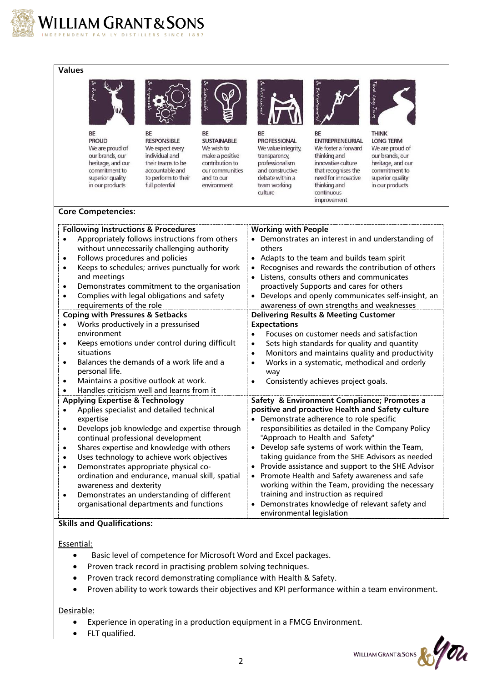

## **Values**



**PROUD** We are proud of our brands, our heritage, and our commitment to superior quality in our products



**BF RESPONSIBLE** We expect every individual and their teams to be accountable and to perform to their full potential

BE **SUSTAINABLE** We wish to make a positive contribution to our communities and to our

environment



**RF PROFESSIONAL** We value integrity, transparency, professionalism and constructive debate within a team working culture



BE **ENTREPRENEURIAL** We foster a forward thinking and innovative culture that recognises the need for innovative thinking and continuous improvement



**THINK LONG TERM** We are proud of our brands, our heritage, and our commitment to superior quality in our products

#### **Core Competencies:**

|           | <b>Following Instructions &amp; Procedures</b>  | <b>Working with People</b>                                     |
|-----------|-------------------------------------------------|----------------------------------------------------------------|
|           | Appropriately follows instructions from others  | Demonstrates an interest in and understanding of               |
|           | without unnecessarily challenging authority     | others                                                         |
| ٠         | Follows procedures and policies                 | • Adapts to the team and builds team spirit                    |
| $\bullet$ | Keeps to schedules; arrives punctually for work | Recognises and rewards the contribution of others              |
|           | and meetings                                    | Listens, consults others and communicates                      |
| $\bullet$ | Demonstrates commitment to the organisation     | proactively Supports and cares for others                      |
|           | Complies with legal obligations and safety      | Develops and openly communicates self-insight, an<br>$\bullet$ |
|           | requirements of the role                        | awareness of own strengths and weaknesses                      |
|           | <b>Coping with Pressures &amp; Setbacks</b>     | <b>Delivering Results &amp; Meeting Customer</b>               |
|           | Works productively in a pressurised             | <b>Expectations</b>                                            |
|           | environment                                     | Focuses on customer needs and satisfaction<br>$\bullet$        |
| $\bullet$ | Keeps emotions under control during difficult   | Sets high standards for quality and quantity<br>$\bullet$      |
|           | situations                                      | Monitors and maintains quality and productivity<br>$\bullet$   |
| $\bullet$ | Balances the demands of a work life and a       | Works in a systematic, methodical and orderly<br>$\bullet$     |
|           | personal life.                                  | way                                                            |
| $\bullet$ | Maintains a positive outlook at work.           | Consistently achieves project goals.<br>$\bullet$              |
|           | Handles criticism well and learns from it       |                                                                |
|           | <b>Applying Expertise &amp; Technology</b>      | Safety & Environment Compliance; Promotes a                    |
|           | Applies specialist and detailed technical       | positive and proactive Health and Safety culture               |
|           | expertise                                       | Demonstrate adherence to role specific                         |
| $\bullet$ | Develops job knowledge and expertise through    | responsibilities as detailed in the Company Policy             |
|           | continual professional development              | "Approach to Health and Safety"                                |
| ٠         | Shares expertise and knowledge with others      | Develop safe systems of work within the Team,                  |
| $\bullet$ | Uses technology to achieve work objectives      | taking guidance from the SHE Advisors as needed                |
| $\bullet$ | Demonstrates appropriate physical co-           | Provide assistance and support to the SHE Advisor              |
|           | ordination and endurance, manual skill, spatial | Promote Health and Safety awareness and safe<br>$\bullet$      |
|           | awareness and dexterity                         | working within the Team, providing the necessary               |
| $\bullet$ | Demonstrates an understanding of different      | training and instruction as required                           |
|           | organisational departments and functions        | Demonstrates knowledge of relevant safety and                  |
|           |                                                 | environmental legislation                                      |

## **Skills and Qualifications:**

Essential:

- Basic level of competence for Microsoft Word and Excel packages.
- Proven track record in practising problem solving techniques.
- Proven track record demonstrating compliance with Health & Safety.
- Proven ability to work towards their objectives and KPI performance within a team environment.

## Desirable:

- Experience in operating in a production equipment in a FMCG Environment.
- FLT qualified.